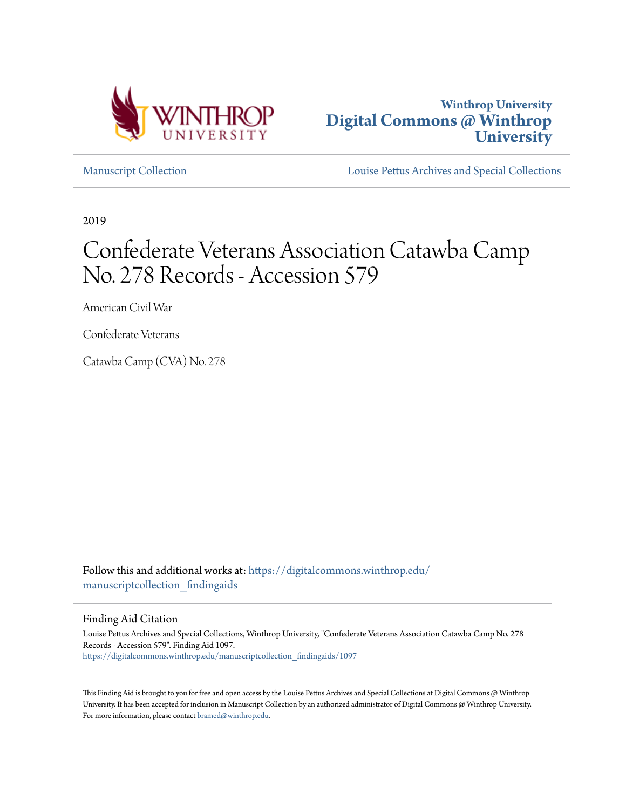



[Manuscript Collection](https://digitalcommons.winthrop.edu/manuscriptcollection_findingaids?utm_source=digitalcommons.winthrop.edu%2Fmanuscriptcollection_findingaids%2F1097&utm_medium=PDF&utm_campaign=PDFCoverPages) [Louise Pettus Archives and Special Collections](https://digitalcommons.winthrop.edu/pettus_archives?utm_source=digitalcommons.winthrop.edu%2Fmanuscriptcollection_findingaids%2F1097&utm_medium=PDF&utm_campaign=PDFCoverPages)

2019

# Confederate Veterans Association Catawba Camp No. 278 Records - Accession 579

American Civil War

Confederate Veterans

Catawba Camp (CVA) No. 278

Follow this and additional works at: [https://digitalcommons.winthrop.edu/](https://digitalcommons.winthrop.edu/manuscriptcollection_findingaids?utm_source=digitalcommons.winthrop.edu%2Fmanuscriptcollection_findingaids%2F1097&utm_medium=PDF&utm_campaign=PDFCoverPages) manuscriptcollection findingaids

Finding Aid Citation

Louise Pettus Archives and Special Collections, Winthrop University, "Confederate Veterans Association Catawba Camp No. 278 Records - Accession 579". Finding Aid 1097. [https://digitalcommons.winthrop.edu/manuscriptcollection\\_findingaids/1097](https://digitalcommons.winthrop.edu/manuscriptcollection_findingaids/1097?utm_source=digitalcommons.winthrop.edu%2Fmanuscriptcollection_findingaids%2F1097&utm_medium=PDF&utm_campaign=PDFCoverPages)

This Finding Aid is brought to you for free and open access by the Louise Pettus Archives and Special Collections at Digital Commons @ Winthrop University. It has been accepted for inclusion in Manuscript Collection by an authorized administrator of Digital Commons @ Winthrop University. For more information, please contact [bramed@winthrop.edu.](mailto:bramed@winthrop.edu)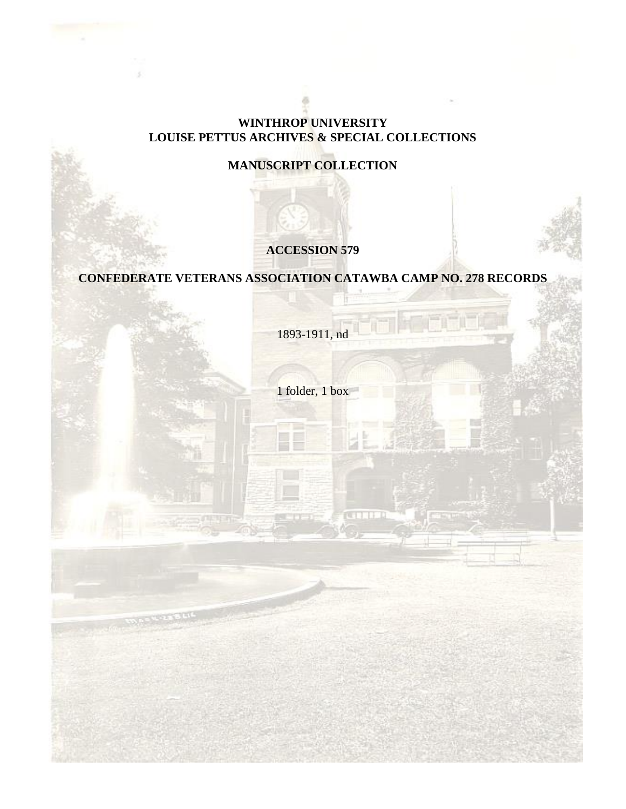## **WINTHROP UNIVERSITY LOUISE PETTUS ARCHIVES & SPECIAL COLLECTIONS**

# **MANUSCRIPT COLLECTION**

## **ACCESSION 579**

## **CONFEDERATE VETERANS ASSOCIATION CATAWBA CAMP NO. 278 RECORDS**

1893-1911, nd

1 folder, 1 box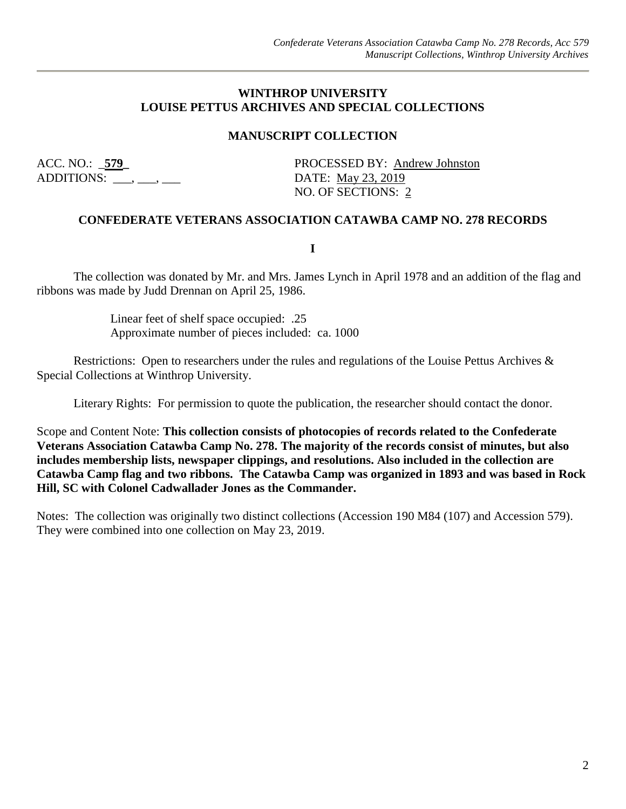#### **WINTHROP UNIVERSITY LOUISE PETTUS ARCHIVES AND SPECIAL COLLECTIONS**

#### **MANUSCRIPT COLLECTION**

ADDITIONS: \_\_\_, \_\_\_, \_\_\_\_ DATE: May 23, 2019

ACC. NO.: 579 PROCESSED BY: Andrew Johnston NO. OF SECTIONS: 2

#### **CONFEDERATE VETERANS ASSOCIATION CATAWBA CAMP NO. 278 RECORDS**

**I**

The collection was donated by Mr. and Mrs. James Lynch in April 1978 and an addition of the flag and ribbons was made by Judd Drennan on April 25, 1986.

> Linear feet of shelf space occupied: .25 Approximate number of pieces included: ca. 1000

Restrictions: Open to researchers under the rules and regulations of the Louise Pettus Archives & Special Collections at Winthrop University.

Literary Rights: For permission to quote the publication, the researcher should contact the donor.

Scope and Content Note: **This collection consists of photocopies of records related to the Confederate Veterans Association Catawba Camp No. 278. The majority of the records consist of minutes, but also includes membership lists, newspaper clippings, and resolutions. Also included in the collection are Catawba Camp flag and two ribbons. The Catawba Camp was organized in 1893 and was based in Rock Hill, SC with Colonel Cadwallader Jones as the Commander.**

Notes: The collection was originally two distinct collections (Accession 190 M84 (107) and Accession 579). They were combined into one collection on May 23, 2019.